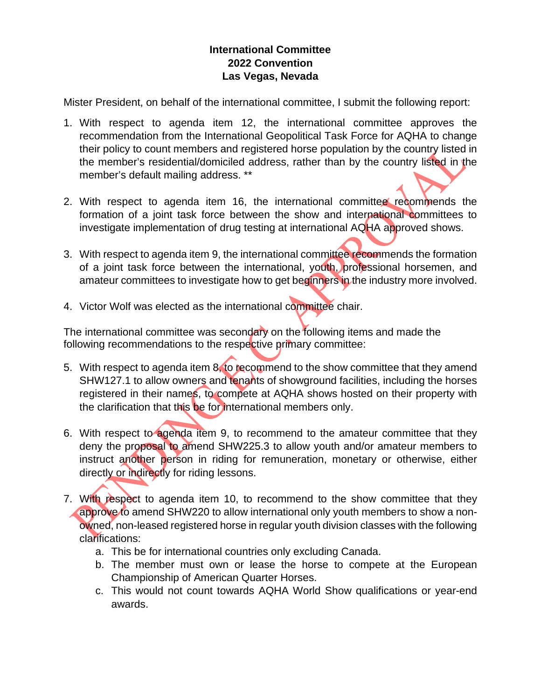## **International Committee 2022 Convention Las Vegas, Nevada**

Mister President, on behalf of the international committee, I submit the following report:

- 1. With respect to agenda item 12, the international committee approves the recommendation from the International Geopolitical Task Force for AQHA to change their policy to count members and registered horse population by the country listed in the member's residential/domiciled address, rather than by the country listed in the member's default mailing address. \*\*
- 2. With respect to agenda item 16, the international committee recommends the formation of a joint task force between the show and international committees to investigate implementation of drug testing at international AQHA approved shows.
- 3. With respect to agenda item 9, the international committee recommends the formation of a joint task force between the international, youth, professional horsemen, and amateur committees to investigate how to get beginners in the industry more involved.
- 4. Victor Wolf was elected as the international committee chair.

The international committee was secondary on the following items and made the following recommendations to the respective primary committee:

- 5. With respect to agenda item 8, to recommend to the show committee that they amend SHW127.1 to allow owners and tenants of showground facilities, including the horses registered in their names, to compete at AQHA shows hosted on their property with the clarification that this be for international members only.
- 6. With respect to agenda item 9, to recommend to the amateur committee that they deny the proposal to amend SHW225.3 to allow youth and/or amateur members to instruct another person in riding for remuneration, monetary or otherwise, either directly or indirectly for riding lessons.
- 7. With respect to agenda item 10, to recommend to the show committee that they approve to amend SHW220 to allow international only youth members to show a nonowned, non-leased registered horse in regular youth division classes with the following clarifications:
	- a. This be for international countries only excluding Canada.
	- b. The member must own or lease the horse to compete at the European Championship of American Quarter Horses.
	- c. This would not count towards AQHA World Show qualifications or year-end awards.